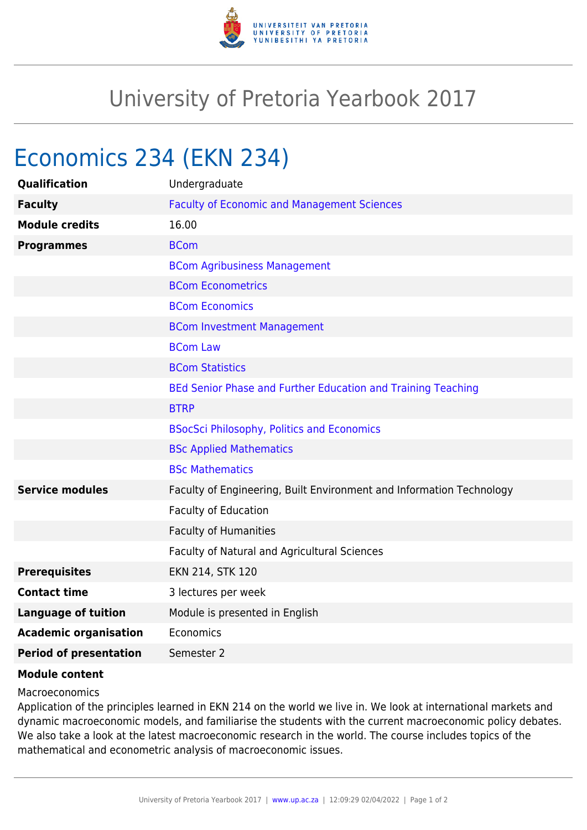

## University of Pretoria Yearbook 2017

## Economics 234 (EKN 234)

| <b>Qualification</b>          | Undergraduate                                                        |
|-------------------------------|----------------------------------------------------------------------|
| <b>Faculty</b>                | <b>Faculty of Economic and Management Sciences</b>                   |
| <b>Module credits</b>         | 16.00                                                                |
| <b>Programmes</b>             | <b>BCom</b>                                                          |
|                               | <b>BCom Agribusiness Management</b>                                  |
|                               | <b>BCom Econometrics</b>                                             |
|                               | <b>BCom Economics</b>                                                |
|                               | <b>BCom Investment Management</b>                                    |
|                               | <b>BCom Law</b>                                                      |
|                               | <b>BCom Statistics</b>                                               |
|                               | BEd Senior Phase and Further Education and Training Teaching         |
|                               | <b>BTRP</b>                                                          |
|                               | <b>BSocSci Philosophy, Politics and Economics</b>                    |
|                               | <b>BSc Applied Mathematics</b>                                       |
|                               | <b>BSc Mathematics</b>                                               |
| <b>Service modules</b>        | Faculty of Engineering, Built Environment and Information Technology |
|                               | Faculty of Education                                                 |
|                               | <b>Faculty of Humanities</b>                                         |
|                               | Faculty of Natural and Agricultural Sciences                         |
| <b>Prerequisites</b>          | EKN 214, STK 120                                                     |
| <b>Contact time</b>           | 3 lectures per week                                                  |
| <b>Language of tuition</b>    | Module is presented in English                                       |
| <b>Academic organisation</b>  | Economics                                                            |
| <b>Period of presentation</b> | Semester 2                                                           |

## **Module content**

## Macroeconomics

Application of the principles learned in EKN 214 on the world we live in. We look at international markets and dynamic macroeconomic models, and familiarise the students with the current macroeconomic policy debates. We also take a look at the latest macroeconomic research in the world. The course includes topics of the mathematical and econometric analysis of macroeconomic issues.